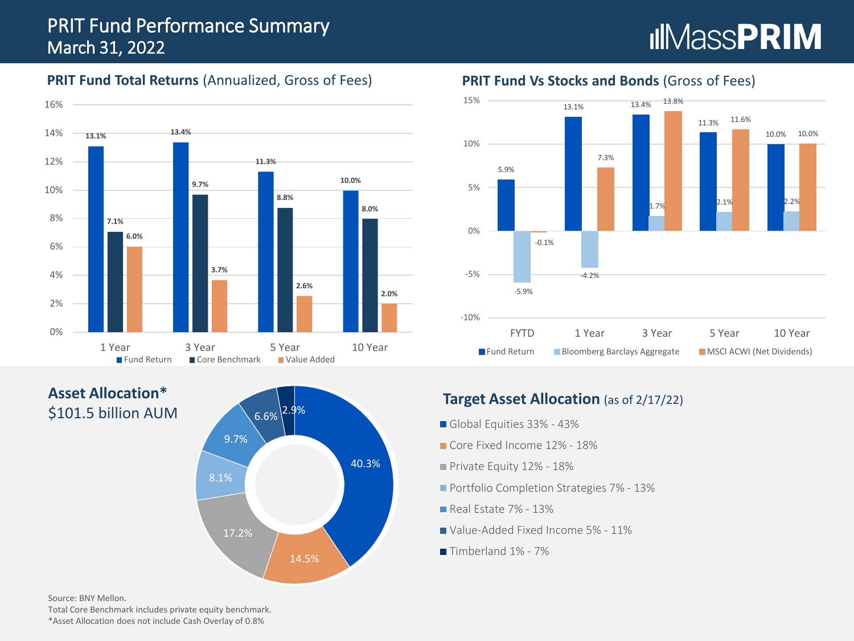# PRIT Fund Performance Summary March 31, 2022

# **IIMassPRIM**

#### **PRIT Fund Total Returns (Annualized, Gross of Fees)**



**Asset Allocation\*** \$101.5 billion AUM



#### **PRIT Fund Vs Stocks and Bonds** (Gross of Fees)



## **Target Asset Allocation** (as of 2/17/22)

- Global Equities 33% 43%
- Core Fixed Income 12% 18%
- Private Equity 12% 18%
- **Portfolio Completion Strategies 7% 13%**
- Real Estate 7% 13%
- Value-Added Fixed Income 5% 11%
- Timberland 1% 7%

Source: BNY Mellon.

Total Core Benchmark includes private equity benchmark. \*Asset Allocation does not include Cash Overlay of 0.8%